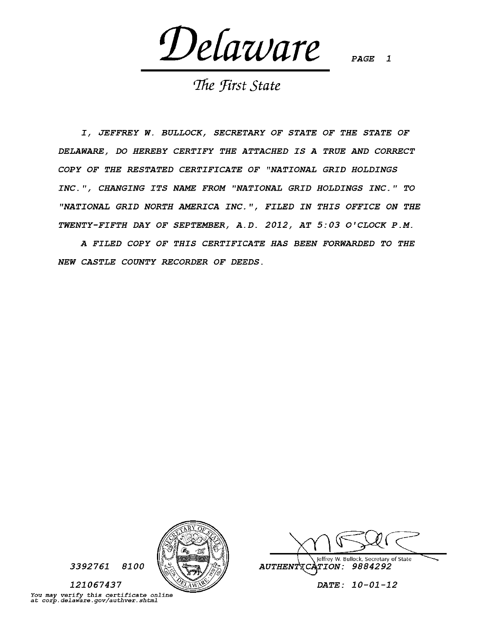$Delavare$ 

The *First* State

*I, JEFFREY W. BULLOCK, SECRETARY* OF *STATE* OF *THE STATE* OF *DELAWARE,* DO *HEREBY CERTIFY THE ATTACHED IS* A *TRUE* AND *CORRECT COPY* OF *THE RESTATED CERTIFICATE* OF *"NATIONAL GRID HOLDINGS INC.* ", *CHANGING ITS NAME FROM "NATIONAL GRID HOLDINGS INC." TO "NATIONAL GRID NORTH AMERICA INC.* ", *FILED IN THIS OFFICE* ON *THE TWENTY-FIFTH DAY* OF *SEPTEMBER, A.D. 2012, AT 5:03 O'CLOCK P.M.* 

A *FILED COPY* OF *THIS CERTIFICATE HAS BEEN FORWARDED TO THE NEW CASTLE COUNTY RECORDER* OF *DEEDS.* 



*3392761 8100* 

*121067437* 

*You* **may** *verify this certificate online*  **at** *corp.delaware.gov/authver.shtml* 

Jeffrey w. Bullock, Secretary of State

C *TION: 9884292* 

*DATE: 10-01-12*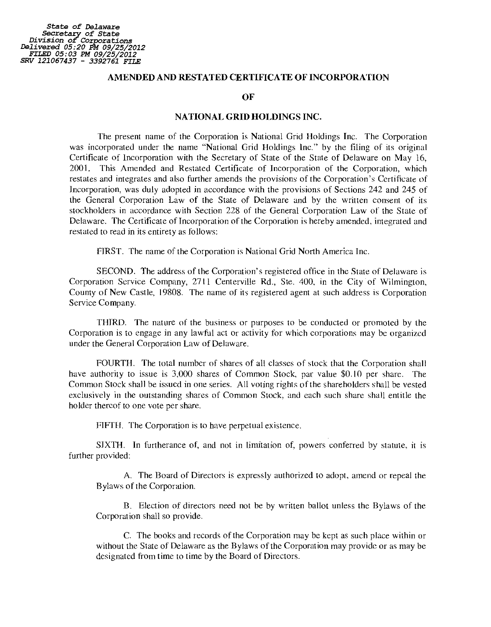## AMENDED AND RESTATED CERTIFICA TE OF INCORPORATION

## OF

## NATIONAL GRID HOLDINGS INC.

The present name of the Corporation is National Grid Holdings Inc. The Corporation was incorporated under the name "National Grid Holdings Inc." by the filing of its original Certificate of Incorporation with the Secretary of State of the State of Delaware on May 16, 2001. This Amended and Restated Certificate of Incorporation of the Corporation, which restates and integrates and also further amends the provisions of the Corporation's Certificate of Incorporation, was duly adopted in accordance with the provisions of Sections 242 and 245 of the General Corporation Law of the State of Delaware and by the written consent of its stockholders in accordance with Section 228 of the General Corporation Law of the State of Delaware. The Certificate of Incorporation of the Corporation is hereby amended, integrated and restated to read in its entirety as follows:

FIRST. The name of the Corporation is National Grid North America Inc.

SECOND. The address of the Corporation's registered office in the State of Delaware is Corporation Service Company, 2711 Centerville Rd., Ste. 400, in the City of Wilmington, County of New Castle, 19808. The name of its registered agent at such address is Corporation Service Company.

THIRD. The nature of the business or purposes to be conducted or promoted by the Corporation is to engage in any lawful act Or activity for which corporations may be organized under the General Corporation Law of Delaware.

FOURTH. The total number of shares of all classes of stock that the Corporation shall have authority to issue is 3,000 shares of Common Stock, par value \$0.10 per share. The Common Stock shall be issued in one series. All voting rights of the shareholders shall be vested exclusively in the outstanding shares of Common Stock, and each such share shall entitle the ho Ider thereof to one vote per share.

FIFTH. The Corporation is to have perpetual existence.

SIXTH. In furtherance of, and not in limitation of, powers conferred by statute, it is further provided:

A. The Board of Directors is expressly authorized to adopt, amend or repeal the Bylaws of the Corporation.

B. Election of directors need not be by written ballot unless the Bylaws of the Corporation shall so provide.

C. The books and records of the Corporation may be kept as such place within or without the State of Delaware as the Bylaws of the Corporation may provide or as may be designated from time to time by the Board of Directors.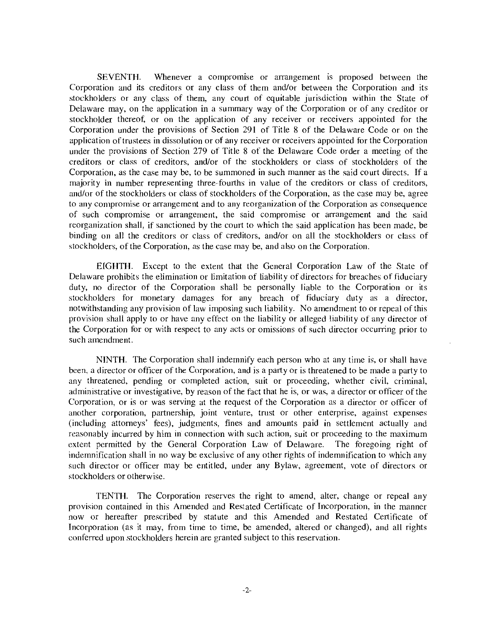SEVENTH. Whenever a compromise or arrangement is proposed between the Corporation and its creditors or any class of them and/or between the Corporation and its stockholders or any class of them, any court of equitable jurisdiction within the State of Delaware may, on the application in a summary way of the Corporation or of any creditor or stockholder thereof, or on the application of any receiver or receivers appointed for the Corporation under the provisions of Section 291 of Title 8 of the Delaware Code or on the application of trustees in dissolution or of any receiver or receivers appointed for the Corporation under the provisions of Section 279 of Title 8 of the Delaware Code order a meeting of the creditors or class of creditors, and/or of the stockholders or class of stockholders of the Corporation, as the case may be, to be summoned in such manner as the said court directs. If a majority in number representing three-fourths in value of the creditors or class of creditors, and/or of the stockholders or class of stockholders of the Corporation, as the case may be, agree to any compromise Or arrangement and to any reorganization of the Corporation as consequence of such compromise or arrangement, the said compromise or arrangement and the said reorganization shall, if sanctioned by the court to which the said application has been made, be binding on all the creditors or class of creditors, and/or on all the stockholders or class of stockholders, of the Corporation, as the case may be, and also on the Corporation.

EIGHTH. Except to the extent that the General Corporation Law of the State of Delaware prohibits the elimination or limitation of liability of directors for breaches of fiduciary duty, no director of the Corporation shall be personally liable to the Corporation or its stockholders for monetary damages for any breach of fiduciary duty as a director, notwithstanding any provision of law imposing such liability. No amendment to or repeal of this provision shall apply to or have any effect on the liability Or alleged liability of any director of the Corporation for or with respect to any acts or omissions of such director occurring prior to such amendment.

NINTH. The Corporation shall indemnify each person who at any time is, or shall have been, a director or officer of the Corporation, and is a party Or is threatened to be made a party to any threatened, pending or completed action, suit or proceeding, whether civil, criminal, administrative or investigative, by reason of the fact that he is, or was, a director or officer of the Corporation, or is or was serving at the request of the Corporation as a director or officer of another corporation, partnership, joint venture, trust or other enterprise, against expenses (including attorneys' fees), judgments, fines and amounts paid in settlement actually and reasonably incurred by him in connection with such action, suit or proceeding to the maximum extent permitted by the General Corporation Law of Delaware. The foregoing right of indemnification shall in no way be exclusive of any other rights of indemnification to which any such director or officer may be entitled, under any Bylaw, agreement, vote of directors or stockholders or otherwise.

TENTH. The Corporation reserves the right to amend, alter, change or repeal any provision contained in this Amended and Restated Certificate of Incorporation, in the manner now or hereafter prescribed by statute and this Amended and Restated Certificate of Incorporation (as it may, from time to time, be amended, altered or changed), and all rights conferred upon stockholders herein are granted subject to this reservation.